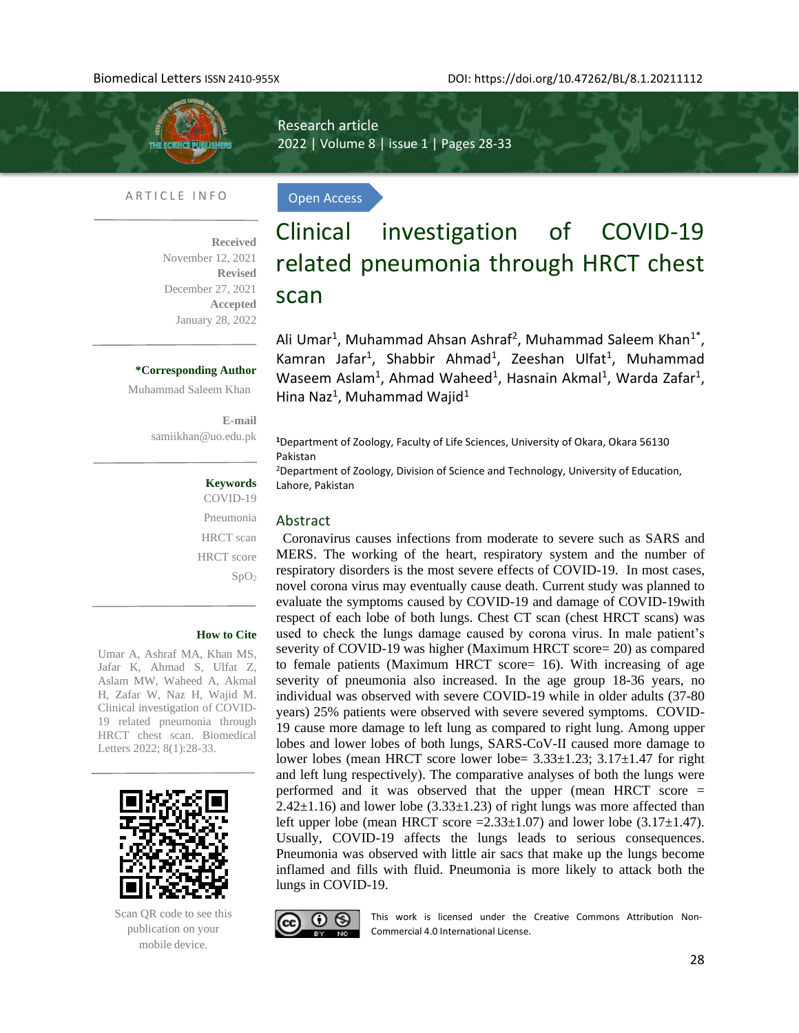

l,

Research article 2022 | Volume 8 | issue 1 | Pages 28-33

Open Access

#### ARTICLE INFO

**Received**  November 12, 2021 **Revised**  December 27, 2021 **Accepted** January 28, 2022

#### **\*Corresponding Author**

Muhammad Saleem Khan

**E-mail**  [samiikhan@uo.edu.pk](mailto:samiikhan@uo.edu.pk)

#### **Keywords**

Pneumonia HRCT scan HRCT score SpO<sup>2</sup>

#### **How to Cite**

Umar A, Ashraf MA, Khan MS, Jafar K, Ahmad S, Ulfat Z, Aslam MW, Waheed A, Akmal H, Zafar W, Naz H, Wajid M. Clinical investigation of COVID-19 related pneumonia through HRCT chest scan. Biomedical Letters 2022; 8(1):28-33.



Scan QR code to see this publication on your mobile device.

# Clinical investigation of COVID-19 related pneumonia through HRCT chest scan

Ali Umar<sup>1</sup>, Muhammad Ahsan Ashraf<sup>2</sup>, Muhammad Saleem Khan<sup>1\*</sup>, Kamran Jafar<sup>1</sup>, Shabbir Ahmad<sup>1</sup>, Zeeshan Ulfat<sup>1</sup>, Muhammad Waseem Aslam<sup>1</sup>, Ahmad Waheed<sup>1</sup>, Hasnain Akmal<sup>1</sup>, Warda Zafar<sup>1</sup>, Hina Naz<sup>1</sup>, Muhammad Wajid<sup>1</sup>

**<sup>1</sup>**Department of Zoology, Faculty of Life Sciences, University of Okara, Okara 56130 Pakistan

<sup>2</sup>Department of Zoology, Division of Science and Technology, University of Education, Lahore, Pakistan

#### Abstract

Coronavirus causes infections from moderate to severe such as SARS and MERS. The working of the heart, respiratory system and the number of respiratory disorders is the most severe effects of COVID-19. In most cases, novel corona virus may eventually cause death. Current study was planned to evaluate the symptoms caused by COVID-19 and damage of COVID-19with respect of each lobe of both lungs. Chest CT scan (chest HRCT scans) was used to check the lungs damage caused by corona virus. In male patient's severity of COVID-19 was higher (Maximum HRCT score= 20) as compared to female patients (Maximum HRCT score= 16). With increasing of age severity of pneumonia also increased. In the age group 18-36 years, no individual was observed with severe COVID-19 while in older adults (37-80 years) 25% patients were observed with severe severed symptoms. COVID-19 cause more damage to left lung as compared to right lung. Among upper lobes and lower lobes of both lungs, SARS-CoV-II caused more damage to lower lobes (mean HRCT score lower lobe= 3.33±1.23; 3.17±1.47 for right and left lung respectively). The comparative analyses of both the lungs were performed and it was observed that the upper (mean HRCT score =  $2.42\pm1.16$ ) and lower lobe (3.33 $\pm1.23$ ) of right lungs was more affected than left upper lobe (mean HRCT score  $=2.33\pm1.07$ ) and lower lobe (3.17 $\pm1.47$ ). Usually, COVID-19 affects the lungs leads to serious consequences. Pneumonia was observed with little air sacs that make up the lungs become inflamed and fills with fluid. Pneumonia is more likely to attack both the lungs in COVID-19.



This work is licensed under the Creative Commons Attribution Non-Commercial 4.0 International License.

COVID-19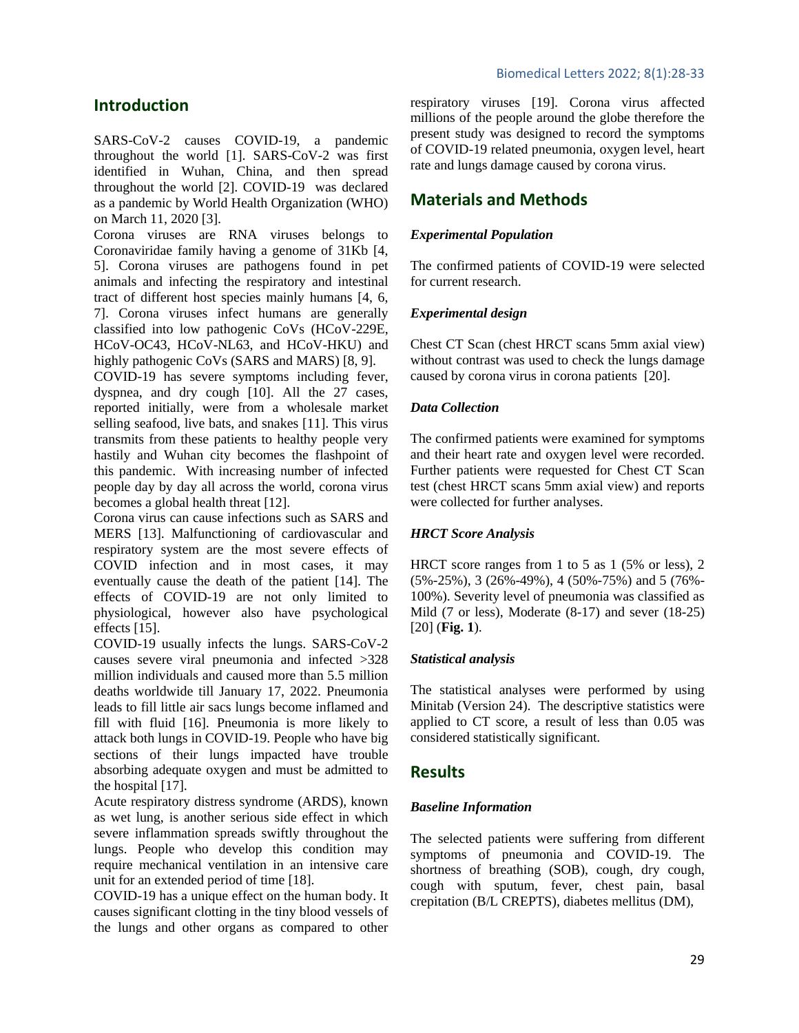### **Introduction**

SARS-CoV-2 causes COVID-19, a pandemic throughout the world [\[1\]](#page-4-0). SARS-CoV-2 was first identified in Wuhan, China, and then spread throughout the world [\[2\]](#page-4-1). COVID-19 was declared as a pandemic by World Health Organization (WHO) on March 11, 2020 [\[3\]](#page-4-2).

Corona viruses are RNA viruses belongs to Coronaviridae family having a genome of 31Kb [\[4,](#page-4-3) [5\]](#page-4-4). Corona viruses are pathogens found in pet animals and infecting the respiratory and intestinal tract of different host species mainly humans [\[4,](#page-4-3) [6,](#page-4-5) [7\]](#page-4-6). Corona viruses infect humans are generally classified into low pathogenic CoVs (HCoV-229E, HCoV-OC43, HCoV-NL63, and HCoV-HKU) and highly pathogenic CoVs (SARS and MARS) [\[8,](#page-4-7) [9\]](#page-4-8).

COVID-19 has severe symptoms including fever, dyspnea, and dry cough [\[10\]](#page-5-0). All the 27 cases, reported initially, were from a wholesale market selling seafood, live bats, and snakes [\[11\]](#page-5-1). This virus transmits from these patients to healthy people very hastily and Wuhan city becomes the flashpoint of this pandemic. With increasing number of infected people day by day all across the world, corona virus becomes a global health threat [\[12\]](#page-5-2).

Corona virus can cause infections such as SARS and MERS [\[13\]](#page-5-3). Malfunctioning of cardiovascular and respiratory system are the most severe effects of COVID infection and in most cases, it may eventually cause the death of the patient [\[14\]](#page-5-4). The effects of COVID-19 are not only limited to physiological, however also have psychological effects [\[15\]](#page-5-5).

COVID-19 usually infects the lungs. SARS-CoV-2 causes severe viral pneumonia and infected >328 million individuals and caused more than 5.5 million deaths worldwide till January 17, 2022. Pneumonia leads to fill little air sacs lungs become inflamed and fill with fluid [\[16\]](#page-5-6). Pneumonia is more likely to attack both lungs in COVID-19. People who have big sections of their lungs impacted have trouble absorbing adequate oxygen and must be admitted to the hospital [\[17\]](#page-5-7).

Acute respiratory distress syndrome (ARDS), known as wet lung, is another serious side effect in which severe inflammation spreads swiftly throughout the lungs. People who develop this condition may require mechanical ventilation in an intensive care unit for an extended period of time [18].

COVID-19 has a unique effect on the human body. It causes significant clotting in the tiny blood vessels of the lungs and other organs as compared to other respiratory viruses [19]. Corona virus affected millions of the people around the globe therefore the present study was designed to record the symptoms of COVID-19 related pneumonia, oxygen level, heart rate and lungs damage caused by corona virus.

## **Materials and Methods**

### *Experimental Population*

The confirmed patients of COVID-19 were selected for current research.

### *Experimental design*

Chest CT Scan (chest HRCT scans 5mm axial view) without contrast was used to check the lungs damage caused by corona virus in corona patients [20].

### *Data Collection*

The confirmed patients were examined for symptoms and their heart rate and oxygen level were recorded. Further patients were requested for Chest CT Scan test (chest HRCT scans 5mm axial view) and reports were collected for further analyses.

### *HRCT Score Analysis*

HRCT score ranges from 1 to 5 as 1 (5% or less), 2 (5%-25%), 3 (26%-49%), 4 (50%-75%) and 5 (76%- 100%). Severity level of pneumonia was classified as Mild (7 or less), Moderate (8-17) and sever (18-25) [20] (**Fig. 1**).

### *Statistical analysis*

The statistical analyses were performed by using Minitab (Version 24). The descriptive statistics were applied to CT score, a result of less than 0.05 was considered statistically significant.

### **Results**

### *Baseline Information*

The selected patients were suffering from different symptoms of pneumonia and COVID-19. The shortness of breathing (SOB), cough, dry cough, cough with sputum, fever, chest pain, basal crepitation (B/L CREPTS), diabetes mellitus (DM),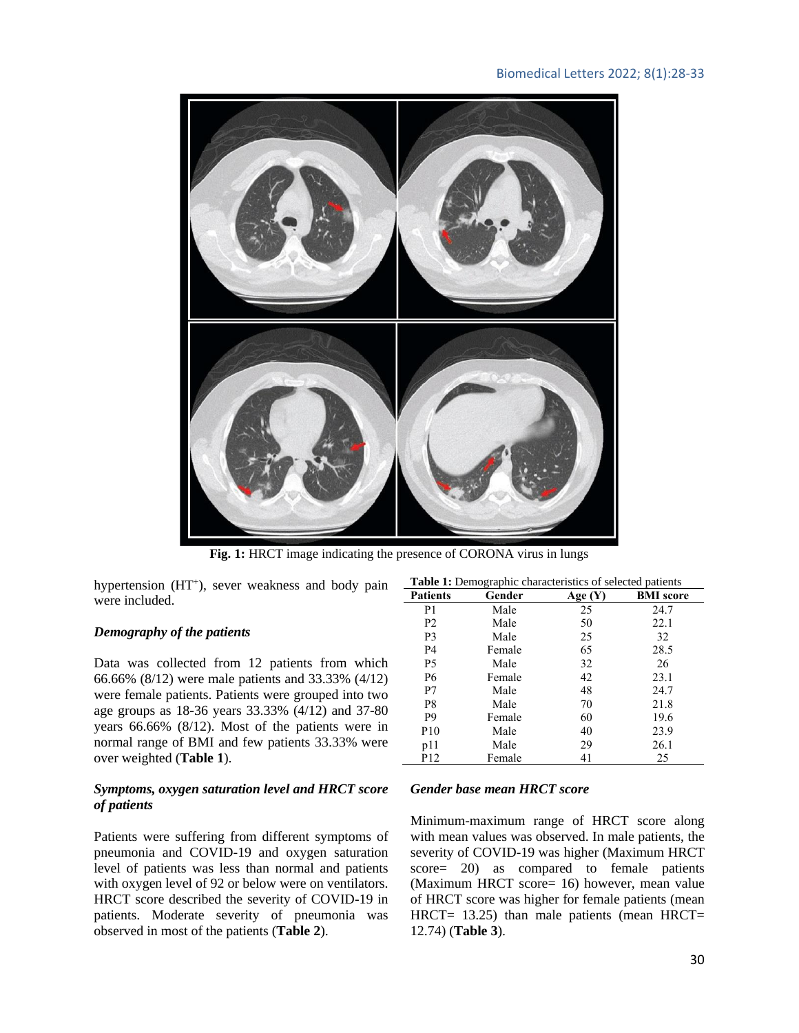

Fig. 1: HRCT image indicating the presence of CORONA virus in lungs

hypertension (HT<sup>+</sup>), sever weakness and body pain were included.

### *Demography of the patients*

Data was collected from 12 patients from which 66.66% (8/12) were male patients and 33.33% (4/12) were female patients. Patients were grouped into two age groups as 18-36 years 33.33% (4/12) and 37-80 years 66.66% (8/12). Most of the patients were in normal range of BMI and few patients 33.33% were over weighted (**Table 1**).

### *Symptoms, oxygen saturation level and HRCT score of patients*

Patients were suffering from different symptoms of pneumonia and COVID-19 and oxygen saturation level of patients was less than normal and patients with oxygen level of 92 or below were on ventilators. HRCT score described the severity of COVID-19 in patients. Moderate severity of pneumonia was observed in most of the patients (**Table 2**).

| Table 1: Demographic characteristics of selected patients |        |         |                  |  |  |
|-----------------------------------------------------------|--------|---------|------------------|--|--|
| <b>Patients</b>                                           | Gender | Age (Y) | <b>BMI</b> score |  |  |
| P1                                                        | Male   | 25      | 24.7             |  |  |
| P <sub>2</sub>                                            | Male   | 50      | 22.1             |  |  |
| P3                                                        | Male   | 25      | 32               |  |  |
| P4                                                        | Female | 65      | 28.5             |  |  |
| P <sub>5</sub>                                            | Male   | 32      | 26               |  |  |
| P6                                                        | Female | 42      | 23.1             |  |  |
| P7                                                        | Male   | 48      | 24.7             |  |  |
| P8                                                        | Male   | 70      | 21.8             |  |  |
| P <sub>9</sub>                                            | Female | 60      | 19.6             |  |  |
| P <sub>10</sub>                                           | Male   | 40      | 23.9             |  |  |
| p11                                                       | Male   | 29      | 26.1             |  |  |
| P <sub>12</sub>                                           | Female | 41      | 25               |  |  |

### *Gender base mean HRCT score*

Minimum-maximum range of HRCT score along with mean values was observed. In male patients, the severity of COVID-19 was higher (Maximum HRCT score= 20) as compared to female patients (Maximum HRCT score= 16) however, mean value of HRCT score was higher for female patients (mean HRCT=  $13.25$ ) than male patients (mean HRCT= 12.74) (**Table 3**).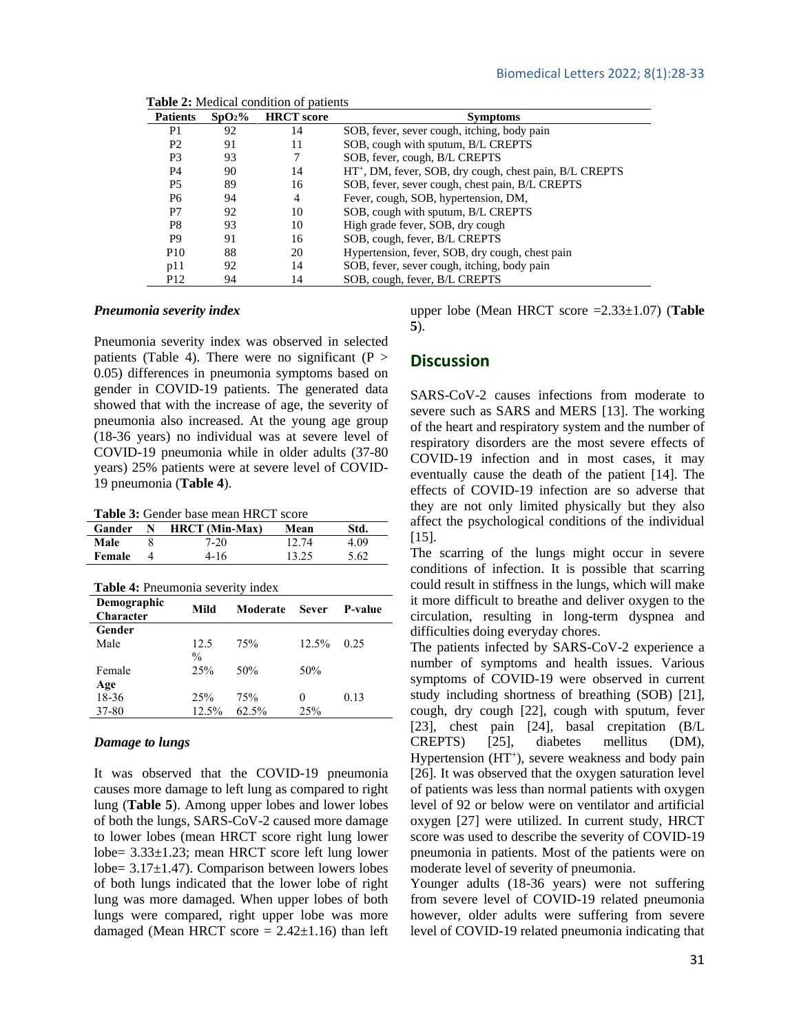| <b>Patients</b> | SpO <sub>2</sub> % | <b>HRCT</b> score | <b>Symptoms</b>                                                     |
|-----------------|--------------------|-------------------|---------------------------------------------------------------------|
| P <sub>1</sub>  | 92                 | 14                | SOB, fever, sever cough, itching, body pain                         |
| P <sub>2</sub>  | 91                 | 11                | SOB, cough with sputum, B/L CREPTS                                  |
| P <sub>3</sub>  | 93                 |                   | SOB, fever, cough, B/L CREPTS                                       |
| P4              | 90                 | 14                | HT <sup>+</sup> , DM, fever, SOB, dry cough, chest pain, B/L CREPTS |
| P <sub>5</sub>  | 89                 | 16                | SOB, fever, sever cough, chest pain, B/L CREPTS                     |
| P6              | 94                 | 4                 | Fever, cough, SOB, hypertension, DM,                                |
| P7              | 92                 | 10                | SOB, cough with sputum, B/L CREPTS                                  |
| P <sub>8</sub>  | 93                 | 10                | High grade fever, SOB, dry cough                                    |
| P <sub>9</sub>  | 91                 | 16                | SOB, cough, fever, B/L CREPTS                                       |
| P <sub>10</sub> | 88                 | 20                | Hypertension, fever, SOB, dry cough, chest pain                     |
| p11             | 92                 | 14                | SOB, fever, sever cough, itching, body pain                         |
| P <sub>12</sub> | 94                 | 14                | SOB, cough, fever, B/L CREPTS                                       |

 **Table 2:** Medical condition of patients

#### *Pneumonia severity index*

Pneumonia severity index was observed in selected patients (Table 4). There were no significant ( $P >$ 0.05) differences in pneumonia symptoms based on gender in COVID-19 patients. The generated data showed that with the increase of age, the severity of pneumonia also increased. At the young age group (18-36 years) no individual was at severe level of COVID-19 pneumonia while in older adults (37-80 years) 25% patients were at severe level of COVID-19 pneumonia (**Table 4**).

**Table 3:** Gender base mean HRCT score

| Gander | $N$ HRCT (Min-Max) | Mean  | Std. |  |
|--------|--------------------|-------|------|--|
| Male   | 7-20               | 12.74 | 4.09 |  |
| Female | $4-16$             | 13.25 | 5.62 |  |

| Table 4: Pneumonia severity index |  |
|-----------------------------------|--|
|                                   |  |

| Demographic<br>Character | Mild          | Moderate | <b>Sever</b> | P-value |
|--------------------------|---------------|----------|--------------|---------|
| Gender                   |               |          |              |         |
| Male                     | 12.5          | 75%      | 12.5%        | 0.25    |
|                          | $\frac{0}{0}$ |          |              |         |
| Female                   | 25%           | 50%      | 50%          |         |
| Age                      |               |          |              |         |
| 18-36                    | 25%           | 75%      | $_{0}$       | 0.13    |
| 37-80                    | 12.5%         | 62.5%    | 25%          |         |

#### *Damage to lungs*

It was observed that the COVID-19 pneumonia causes more damage to left lung as compared to right lung (**Table 5**). Among upper lobes and lower lobes of both the lungs, SARS-CoV-2 caused more damage to lower lobes (mean HRCT score right lung lower lobe= 3.33±1.23; mean HRCT score left lung lower lobe= 3.17±1.47). Comparison between lowers lobes of both lungs indicated that the lower lobe of right lung was more damaged. When upper lobes of both lungs were compared, right upper lobe was more damaged (Mean HRCT score  $= 2.42 \pm 1.16$ ) than left upper lobe (Mean HRCT score =2.33±1.07) (**Table 5**).

### **Discussion**

SARS-CoV-2 causes infections from moderate to severe such as SARS and MERS [\[13\]](#page-5-3). The working of the heart and respiratory system and the number of respiratory disorders are the most severe effects of COVID-19 infection and in most cases, it may eventually cause the death of the patient [\[14\]](#page-5-4). The effects of COVID-19 infection are so adverse that they are not only limited physically but they also affect the psychological conditions of the individual [\[15\]](#page-5-5).

The scarring of the lungs might occur in severe conditions of infection. It is possible that scarring could result in stiffness in the lungs, which will make it more difficult to breathe and deliver oxygen to the circulation, resulting in long-term dyspnea and difficulties doing everyday chores.

The patients infected by SARS-CoV-2 experience a number of symptoms and health issues. Various symptoms of COVID-19 were observed in current study including shortness of breathing (SOB) [21], cough, dry cough [22], cough with sputum, fever [23], chest pain [24], basal crepitation (B/L CREPTS) [25], diabetes mellitus (DM), Hypertension (HT<sup>+</sup>), severe weakness and body pain [26]. It was observed that the oxygen saturation level of patients was less than normal patients with oxygen level of 92 or below were on ventilator and artificial oxygen [27] were utilized. In current study, HRCT score was used to describe the severity of COVID-19 pneumonia in patients. Most of the patients were on moderate level of severity of pneumonia.

Younger adults (18-36 years) were not suffering from severe level of COVID-19 related pneumonia however, older adults were suffering from severe level of COVID-19 related pneumonia indicating that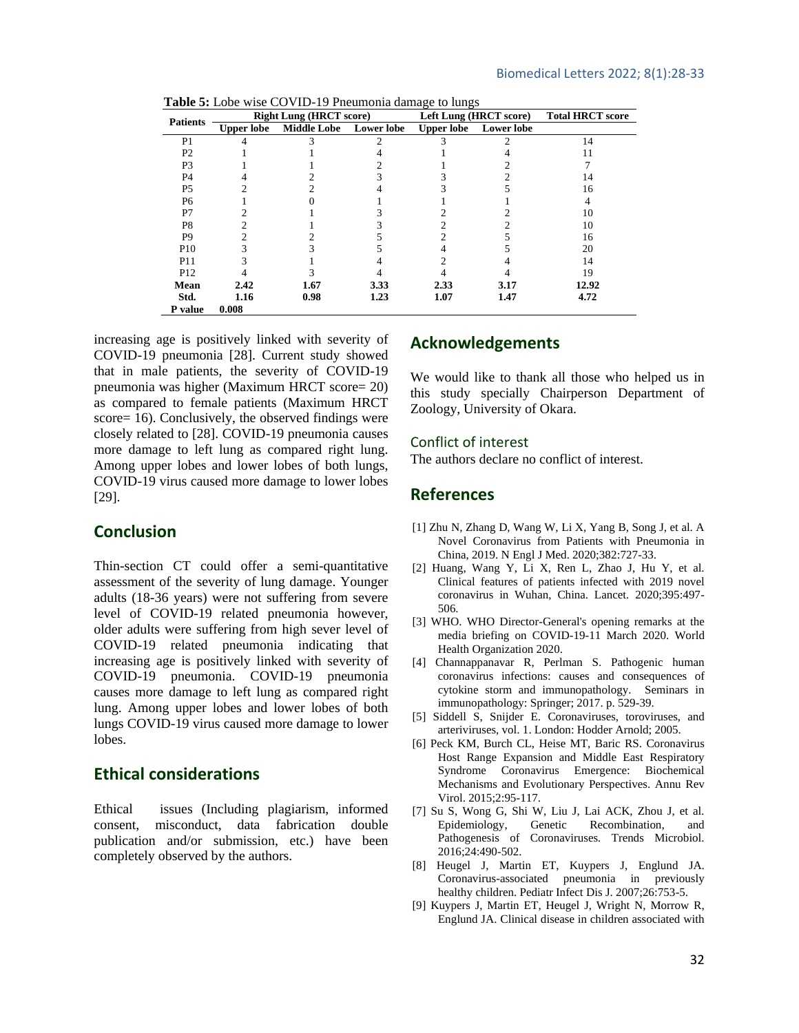|                 | <b>THERE SI</b> LOOD WHO CO THE 12 I HOMEOMIA GAMAGO TO RINGS<br><b>Right Lung (HRCT score)</b> |                        | Left Lung (HRCT score) |      | <b>Total HRCT score</b> |       |
|-----------------|-------------------------------------------------------------------------------------------------|------------------------|------------------------|------|-------------------------|-------|
| <b>Patients</b> | <b>Upper lobe</b>                                                                               | Middle Lobe Lower lobe |                        |      | Upper lobe Lower lobe   |       |
| P <sub>1</sub>  |                                                                                                 |                        |                        |      |                         | 14    |
| P <sub>2</sub>  |                                                                                                 |                        |                        |      |                         |       |
| P3              |                                                                                                 |                        |                        |      |                         |       |
| P <sub>4</sub>  |                                                                                                 |                        |                        |      |                         | 14    |
| P <sub>5</sub>  |                                                                                                 |                        |                        |      |                         | 16    |
| P <sub>6</sub>  |                                                                                                 |                        |                        |      |                         |       |
| P7              |                                                                                                 |                        |                        |      |                         | 10    |
| P8              |                                                                                                 |                        |                        |      |                         | 10    |
| P <sub>9</sub>  |                                                                                                 |                        |                        |      |                         | 16    |
| P <sub>10</sub> |                                                                                                 |                        |                        |      |                         | 20    |
| P11             |                                                                                                 |                        |                        |      |                         | 14    |
| P <sub>12</sub> |                                                                                                 |                        |                        |      |                         | 19    |
| Mean            | 2.42                                                                                            | 1.67                   | 3.33                   | 2.33 | 3.17                    | 12.92 |
| Std.            | 1.16                                                                                            | 0.98                   | 1.23                   | 1.07 | 1.47                    | 4.72  |
| P value         | 0.008                                                                                           |                        |                        |      |                         |       |

 **Table 5:** Lobe wise COVID-19 Pneumonia damage to lungs

increasing age is positively linked with severity of COVID-19 pneumonia [28]. Current study showed that in male patients, the severity of COVID-19 pneumonia was higher (Maximum HRCT score= 20) as compared to female patients (Maximum HRCT score= 16). Conclusively, the observed findings were closely related to [28]. COVID-19 pneumonia causes more damage to left lung as compared right lung. Among upper lobes and lower lobes of both lungs, COVID-19 virus caused more damage to lower lobes [29].

### **Conclusion**

Thin-section CT could offer a semi-quantitative assessment of the severity of lung damage. Younger adults (18-36 years) were not suffering from severe level of COVID-19 related pneumonia however, older adults were suffering from high sever level of COVID-19 related pneumonia indicating that increasing age is positively linked with severity of COVID-19 pneumonia. COVID-19 pneumonia causes more damage to left lung as compared right lung. Among upper lobes and lower lobes of both lungs COVID-19 virus caused more damage to lower lobes.

### **Ethical considerations**

Ethical issues (Including plagiarism, informed consent, misconduct, data fabrication double publication and/or submission, etc.) have been completely observed by the authors.

### **Acknowledgements**

We would like to thank all those who helped us in this study specially Chairperson Department of Zoology, University of Okara.

#### Conflict of interest

The authors declare no conflict of interest.

### **References**

- <span id="page-4-0"></span>[1] Zhu N, Zhang D, Wang W, Li X, Yang B, Song J, et al. A Novel Coronavirus from Patients with Pneumonia in China, 2019. N Engl J Med. 2020;382:727-33.
- <span id="page-4-1"></span>[2] Huang, Wang Y, Li X, Ren L, Zhao J, Hu Y, et al. Clinical features of patients infected with 2019 novel coronavirus in Wuhan, China. Lancet. 2020;395:497- 506.
- <span id="page-4-2"></span>[3] WHO. WHO Director-General's opening remarks at the media briefing on COVID-19-11 March 2020. World Health Organization 2020.
- <span id="page-4-3"></span>[4] Channappanavar R, Perlman S. Pathogenic human coronavirus infections: causes and consequences of cytokine storm and immunopathology. Seminars in immunopathology: Springer; 2017. p. 529-39.
- <span id="page-4-4"></span>[5] Siddell S, Snijder E. Coronaviruses, toroviruses, and arteriviruses, vol. 1. London: Hodder Arnold; 2005.
- <span id="page-4-5"></span>[6] Peck KM, Burch CL, Heise MT, Baric RS. Coronavirus Host Range Expansion and Middle East Respiratory Syndrome Coronavirus Emergence: Biochemical Mechanisms and Evolutionary Perspectives. Annu Rev Virol. 2015;2:95-117.
- <span id="page-4-6"></span>[7] Su S, Wong G, Shi W, Liu J, Lai ACK, Zhou J, et al. Epidemiology, Genetic Recombination, and Pathogenesis of Coronaviruses. Trends Microbiol. 2016;24:490-502.
- <span id="page-4-7"></span>[8] Heugel J, Martin ET, Kuypers J, Englund JA. Coronavirus-associated pneumonia in previously healthy children. Pediatr Infect Dis J. 2007;26:753-5.
- <span id="page-4-8"></span>[9] Kuypers J, Martin ET, Heugel J, Wright N, Morrow R, Englund JA. Clinical disease in children associated with